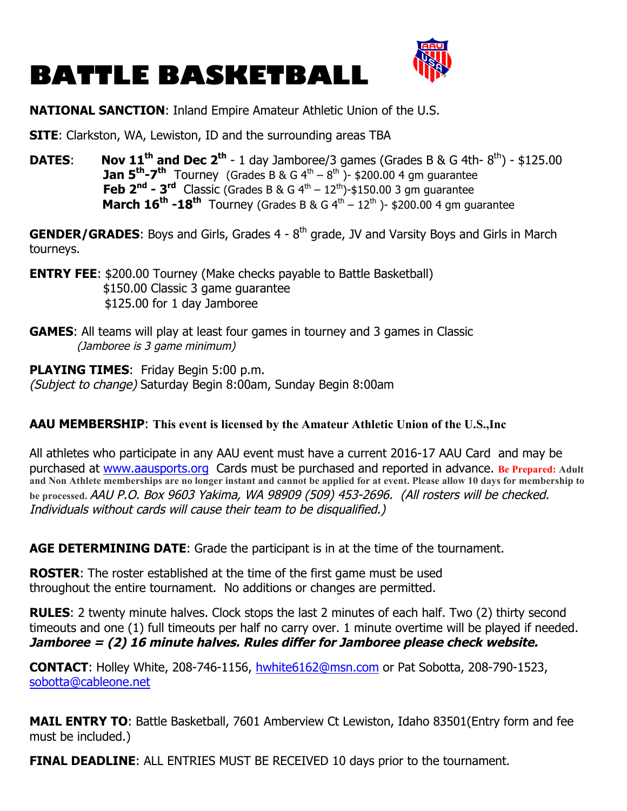## **BATTLE BASKETBALL**



## **NATIONAL SANCTION**: Inland Empire Amateur Athletic Union of the U.S.

**SITE**: Clarkston, WA, Lewiston, ID and the surrounding areas TBA

**DATES: Nov 11<sup>th</sup> and Dec 2<sup>th</sup> - 1 day Jamboree/3 games (Grades B & G 4th-**  $8^{th}$ **) - \$125.00 Jan 5<sup>th</sup>-7<sup>th</sup>** Tourney (Grades B & G  $4^{th} - 8^{th}$ ) - \$200.00 4 gm guarantee **Feb**  $2^{nd}$  **-**  $3^{rd}$  Classic (Grades B & G  $4^{th}$  –  $12^{th}$ )-\$150.00 3 gm guarantee **March**  $16^{th}$  **-18<sup>th</sup>** Tourney (Grades B & G  $4^{th}$  –  $12^{th}$  )- \$200.00 4 gm guarantee

**GENDER/GRADES:** Boys and Girls, Grades 4 - 8<sup>th</sup> grade, JV and Varsity Boys and Girls in March tourneys.

**ENTRY FEE:** \$200.00 Tourney (Make checks payable to Battle Basketball) \$150.00 Classic 3 game guarantee \$125.00 for 1 day Jamboree

**GAMES**: All teams will play at least four games in tourney and 3 games in Classic (Jamboree is 3 game minimum)

**PLAYING TIMES**: Friday Begin 5:00 p.m. (Subject to change) Saturday Begin 8:00am, Sunday Begin 8:00am

## **AAU MEMBERSHIP**: **This event is licensed by the Amateur Athletic Union of the U.S.,Inc**

All athletes who participate in any AAU event must have a current 2016-17 AAU Card and may be purchased at www.aausports.org Cards must be purchased and reported in advance. **Be Prepared: Adult and Non Athlete memberships are no longer instant and cannot be applied for at event. Please allow 10 days for membership to be processed.** AAU P.O. Box 9603 Yakima, WA 98909 (509) 453-2696. (All rosters will be checked. Individuals without cards will cause their team to be disqualified.)

**AGE DETERMINING DATE**: Grade the participant is in at the time of the tournament.

**ROSTER**: The roster established at the time of the first game must be used throughout the entire tournament. No additions or changes are permitted.

**RULES**: 2 twenty minute halves. Clock stops the last 2 minutes of each half. Two (2) thirty second timeouts and one (1) full timeouts per half no carry over. 1 minute overtime will be played if needed. **Jamboree = (2) 16 minute halves. Rules differ for Jamboree please check website.** 

**CONTACT**: Holley White, 208-746-1156, hwhite6162@msn.com or Pat Sobotta, 208-790-1523, sobotta@cableone.net

**MAIL ENTRY TO**: Battle Basketball, 7601 Amberview Ct Lewiston, Idaho 83501(Entry form and fee must be included.)

**FINAL DEADLINE:** ALL ENTRIES MUST BE RECEIVED 10 days prior to the tournament.